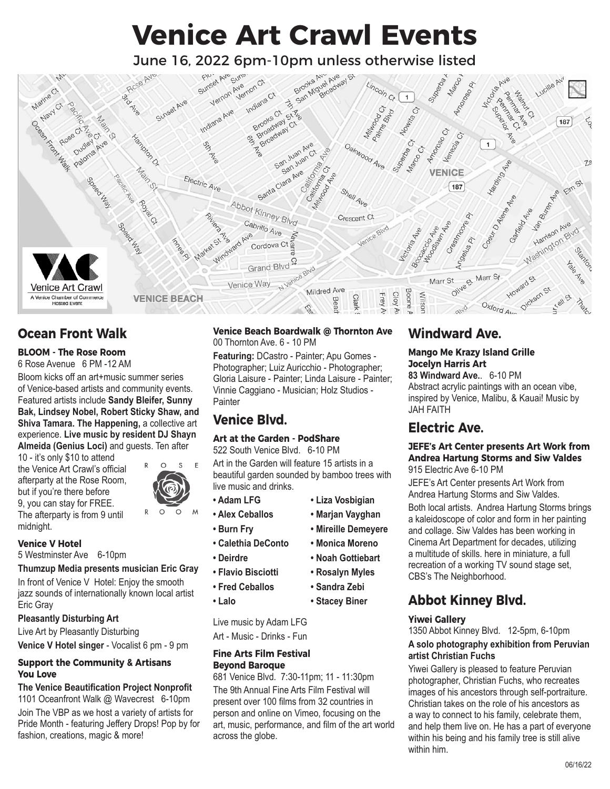# **Venice Art Crawl Events**



## **Ocean Front Walk**

#### **BLOOM - The Rose Room**

6 Rose Avenue 6 PM -12 AM

Bloom kicks off an art+music summer series of Venice-based artists and community events. Featured artists include **Sandy Bleifer, Sunny Bak, Lindsey Nobel, Robert Sticky Shaw, and Shiva Tamara. The Happening, a collective art** experience. **Live music by resident DJ Shayn Almeida (Genius Loci)** and guests. Ten after

10 - it's only \$10 to attend the Venice Art Crawl's official afterparty at the Rose Room, but if you're there before 9, you can stay for FREE. The afterparty is from 9 until midnight.

#### E  $\Omega$  $\Omega$ R  $\Omega$ M

**Venice V Hotel**

5 Westminster Ave 6-10pm

#### **Thumzup Media presents musician Eric Gray**

In front of Venice V Hotel: Enjoy the smooth jazz sounds of internationally known local artist Eric Gray

#### **Pleasantly Disturbing Art**

Live Art by Pleasantly Disturbing **Venice V Hotel singer** - Vocalist 6 pm - 9 pm

#### **Support the Community & Artisans You Love**

#### **The Venice Beautification Project Nonprofit** 1101 Oceanfront Walk @ Wavecrest 6-10pm Join The VBP as we host a variety of artists for Pride Month - featuring Jeffery Drops! Pop by for fashion, creations, magic & more!

#### **Venice Beach Boardwalk @ Thornton Ave** 00 Thornton Ave. 6 - 10 PM

**Featuring:** DCastro - Painter; Apu Gomes - Photographer; Luiz Auricchio - Photographer; Gloria Laisure - Painter; Linda Laisure - Painter; Vinnie Caggiano - Musician; Holz Studios - **Painter** 

# **Venice Blvd.**

#### **Art at the Garden - PodShare**

#### 522 South Venice Blvd. 6-10 PM

Art in the Garden will feature 15 artists in a beautiful garden sounded by bamboo trees with live music and drinks.

> **• Liza Vosbigian • Marjan Vayghan • Mireille Demeyere • Monica Moreno • Noah Gottiebart • Rosalyn Myles • Sandra Zebi • Stacey Biner**

- **Adam LFG**
- **Alex Ceballos**
- **Burn Fry**
- **Calethia DeConto**
	- **Deirdre**
	- **Flavio Bisciotti**
	- **Fred Ceballos**
- **Lalo**

Live music by Adam LFG Art - Music - Drinks - Fun

#### **Fine Arts Film Festival Beyond Baroque**

681 Venice Blvd. 7:30-11pm; 11 - 11:30pm The 9th Annual Fine Arts Film Festival will present over 100 films from 32 countries in person and online on Vimeo, focusing on the art, music, performance, and film of the art world across the globe.

# **Windward Ave.**

#### **Mango Me Krazy Island Grille Jocelyn Harris Art**

**83 Windward Ave.**. 6-10 PM Abstract acrylic paintings with an ocean vibe, inspired by Venice, Malibu, & Kauai! Music by JAH FAITH

## **Electric Ave.**

#### **JEFE's Art Center presents Art Work from Andrea Hartung Storms and Siw Valdes** 915 Electric Ave 6-10 PM

JEFE's Art Center presents Art Work from Andrea Hartung Storms and Siw Valdes. Both local artists. Andrea Hartung Storms brings a kaleidoscope of color and form in her painting and collage. Siw Valdes has been working in Cinema Art Department for decades, utilizing a multitude of skills. here in miniature, a full recreation of a working TV sound stage set, CBS's The Neighborhood.

# **Abbot Kinney Blvd.**

#### **Yiwei Gallery**

1350 Abbot Kinney Blvd. 12-5pm, 6-10pm **A solo photography exhibition from Peruvian artist Christian Fuchs**

Yiwei Gallery is pleased to feature Peruvian photographer, Christian Fuchs, who recreates images of his ancestors through self-portraiture. Christian takes on the role of his ancestors as a way to connect to his family, celebrate them, and help them live on. He has a part of everyone within his being and his family tree is still alive within him.